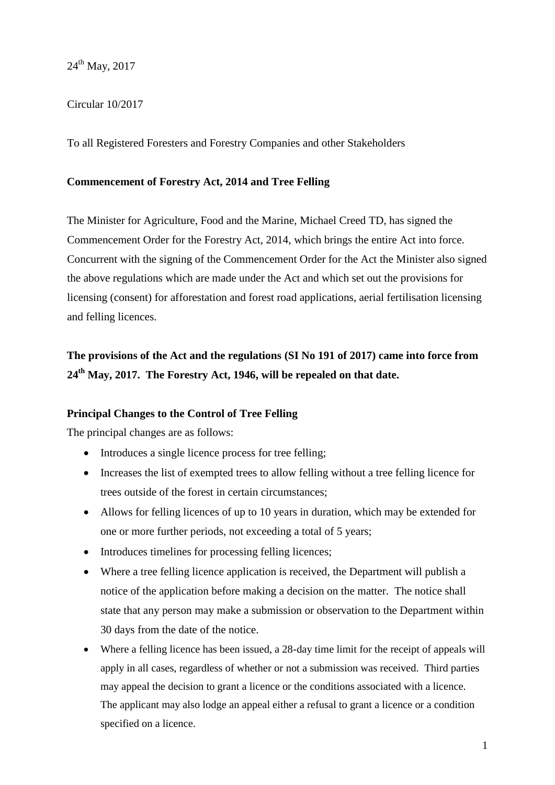24<sup>th</sup> May, 2017

# Circular 10/2017

To all Registered Foresters and Forestry Companies and other Stakeholders

### **Commencement of Forestry Act, 2014 and Tree Felling**

The Minister for Agriculture, Food and the Marine, Michael Creed TD, has signed the Commencement Order for the Forestry Act, 2014, which brings the entire Act into force. Concurrent with the signing of the Commencement Order for the Act the Minister also signed the above regulations which are made under the Act and which set out the provisions for licensing (consent) for afforestation and forest road applications, aerial fertilisation licensing and felling licences.

# **The provisions of the Act and the regulations (SI No 191 of 2017) came into force from 24th May, 2017. The Forestry Act, 1946, will be repealed on that date.**

## **Principal Changes to the Control of Tree Felling**

The principal changes are as follows:

- Introduces a single licence process for tree felling;
- Increases the list of exempted trees to allow felling without a tree felling licence for trees outside of the forest in certain circumstances;
- Allows for felling licences of up to 10 years in duration, which may be extended for one or more further periods, not exceeding a total of 5 years;
- Introduces timelines for processing felling licences;
- Where a tree felling licence application is received, the Department will publish a notice of the application before making a decision on the matter. The notice shall state that any person may make a submission or observation to the Department within 30 days from the date of the notice.
- Where a felling licence has been issued, a 28-day time limit for the receipt of appeals will apply in all cases, regardless of whether or not a submission was received. Third parties may appeal the decision to grant a licence or the conditions associated with a licence. The applicant may also lodge an appeal either a refusal to grant a licence or a condition specified on a licence.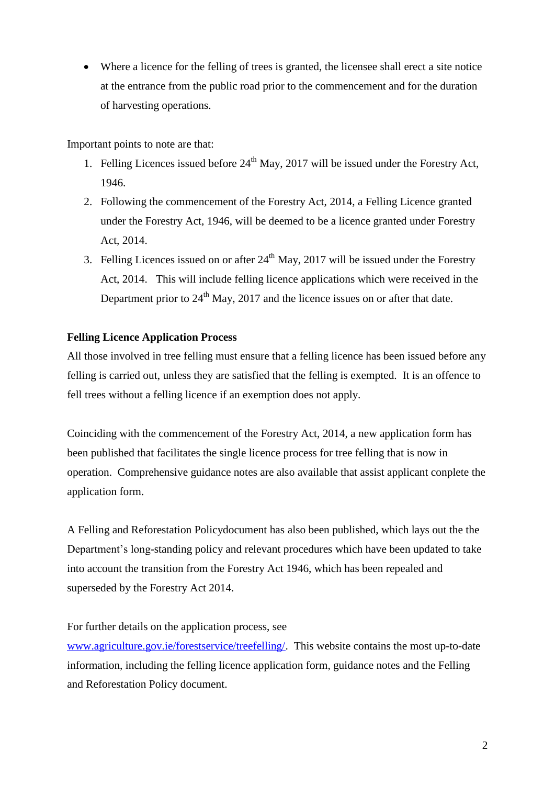Where a licence for the felling of trees is granted, the licensee shall erect a site notice at the entrance from the public road prior to the commencement and for the duration of harvesting operations.

Important points to note are that:

- 1. Felling Licences issued before  $24<sup>th</sup>$  May, 2017 will be issued under the Forestry Act, 1946.
- 2. Following the commencement of the Forestry Act, 2014, a Felling Licence granted under the Forestry Act, 1946, will be deemed to be a licence granted under Forestry Act, 2014.
- 3. Felling Licences issued on or after  $24<sup>th</sup>$  May, 2017 will be issued under the Forestry Act, 2014. This will include felling licence applications which were received in the Department prior to  $24<sup>th</sup>$  May, 2017 and the licence issues on or after that date.

# **Felling Licence Application Process**

All those involved in tree felling must ensure that a felling licence has been issued before any felling is carried out, unless they are satisfied that the felling is exempted. It is an offence to fell trees without a felling licence if an exemption does not apply.

Coinciding with the commencement of the Forestry Act, 2014, a new application form has been published that facilitates the single licence process for tree felling that is now in operation. Comprehensive guidance notes are also available that assist applicant conplete the application form.

A Felling and Reforestation Policydocument has also been published, which lays out the the Department's long-standing policy and relevant procedures which have been updated to take into account the transition from the Forestry Act 1946, which has been repealed and superseded by the Forestry Act 2014.

## For further details on the application process, see

[www.agriculture.gov.ie/forestservice/treefelling/.](http://www.agriculture.gov.ie/forestservice/treefelling/) This website contains the most up-to-date information, including the felling licence application form, guidance notes and the Felling and Reforestation Policy document.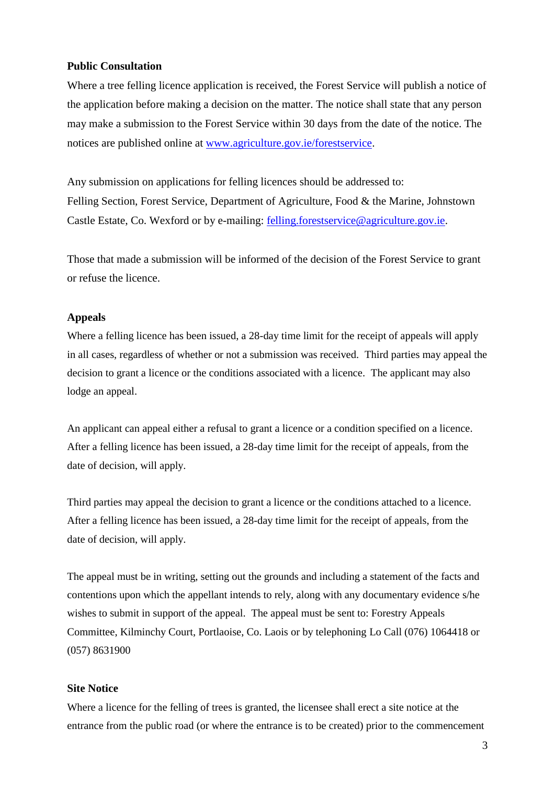#### **Public Consultation**

Where a tree felling licence application is received, the Forest Service will publish a notice of the application before making a decision on the matter. The notice shall state that any person may make a submission to the Forest Service within 30 days from the date of the notice. The notices are published online at [www.agriculture.gov.ie/forestservice.](http://www.agriculture.gov.ie/forestservice)

Any submission on applications for felling licences should be addressed to: Felling Section, Forest Service, Department of Agriculture, Food & the Marine, Johnstown Castle Estate, Co. Wexford or by e-mailing: [felling.forestservice@agriculture.gov.ie.](mailto:felling.forestservice@agriculture.gov.ie)

Those that made a submission will be informed of the decision of the Forest Service to grant or refuse the licence.

#### **Appeals**

Where a felling licence has been issued, a 28-day time limit for the receipt of appeals will apply in all cases, regardless of whether or not a submission was received. Third parties may appeal the decision to grant a licence or the conditions associated with a licence. The applicant may also lodge an appeal.

An applicant can appeal either a refusal to grant a licence or a condition specified on a licence. After a felling licence has been issued, a 28-day time limit for the receipt of appeals, from the date of decision, will apply.

Third parties may appeal the decision to grant a licence or the conditions attached to a licence. After a felling licence has been issued, a 28-day time limit for the receipt of appeals, from the date of decision, will apply.

The appeal must be in writing, setting out the grounds and including a statement of the facts and contentions upon which the appellant intends to rely, along with any documentary evidence s/he wishes to submit in support of the appeal. The appeal must be sent to: Forestry Appeals Committee, Kilminchy Court, Portlaoise, Co. Laois or by telephoning Lo Call (076) 1064418 or (057) 8631900

#### **Site Notice**

Where a licence for the felling of trees is granted, the licensee shall erect a site notice at the entrance from the public road (or where the entrance is to be created) prior to the commencement